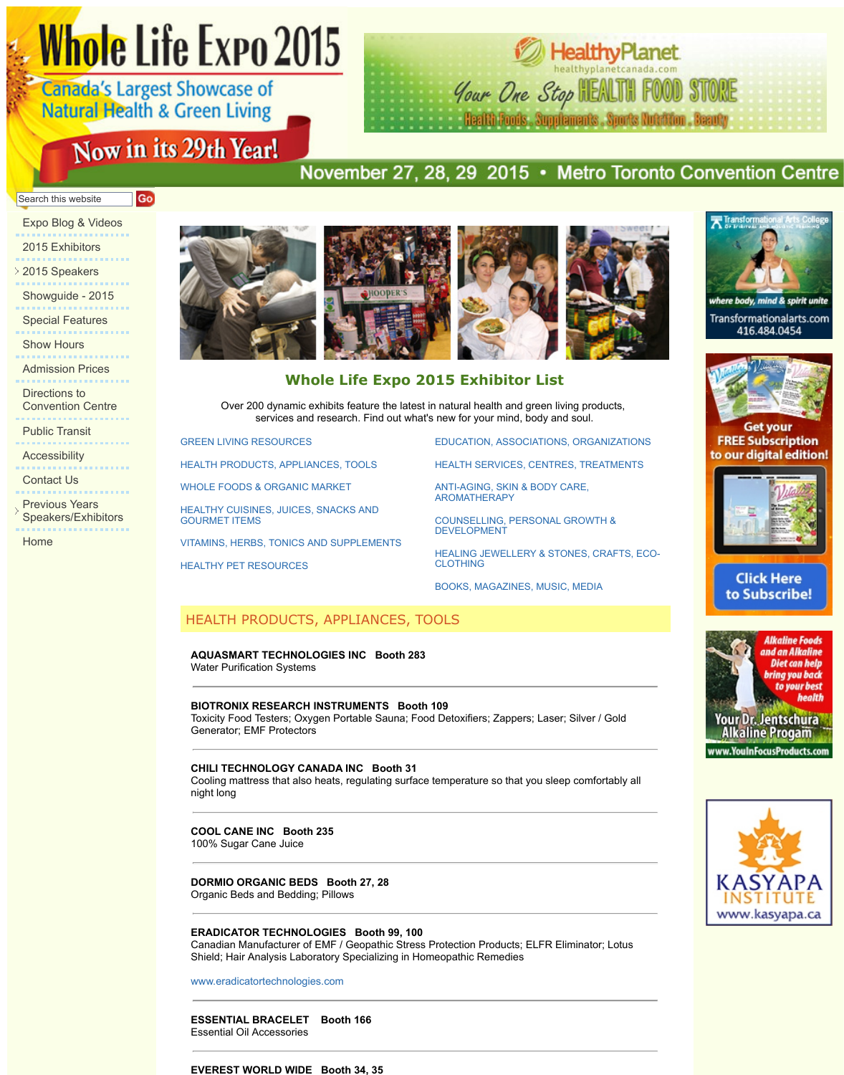Directions to Convention Centre

Public Transit

.....................

. . . . . . . . . . . . . . .

Accessibility 

Contact Us

**Previous Years** Speakers/Exhibitors

Home

## **Whole Life Expo 2015 Exhibitor List**

Over 200 dynamic exhibits feature the latest in natural health and green services and research. Find out what's new for your mind, bot

GREEN LIVING RESOURCES

HEALTH PRODUCTS, APPLIANCES, TOOLS

WHOLE FOODS & ORGANIC MARKET

HEALTHY CUISINES, JUICES, SNACKS AND GOURMET ITEMS

VITAMINS, HERBS, TONICS AND SUPPLEMENTS

HEALTHY PET RESOURCES

EDUCATION, ASSOCI.

**HEALTH SERVICES, C** 

ANTI-AGING, SKIN & B AROMATHERAPY

COUNSELLING, PERS DEVELOPMENT

**HEALING JEWELLERY** CLOTHING

BOOKS, MAGAZINES,

## HEALTH PRODUCTS, APPLIANCES, TOOLS

## **AQUASMART TECHNOLOGIES INC Booth 283**

Water Purification Systems

## **BIOTRONIX RESEARCH INSTRUMENTS Booth 109**

Toxicity Food Testers; Oxygen Portable Sauna; Food Detoxifiers; Zappers; Generator; EMF Protectors

#### **CHILI TECHNOLOGY CANADA INC Booth 31**

Cooling mattress that also heats, regulating surface temperature so that you night long

**[COOL CANE INC Booth](http://www.wholelifeexpo.ca/exhibitors.php#24) 235**

[100% Sugar Cane Juice](http://www.wholelifeexpo.ca/exhibitors.php#11) 

## **DORMIO ORGANIC BEDS Booth 27, 28**

[Organic Beds and Bedding; Pillows](http://www.wholelifeexpo.ca/exhibitors.php#13)

## **[ERADICATOR TECHNOLOGIES Booth 99,](http://www.wholelifeexpo.ca/exhibitors.php#14) 100**

[Canadian Manufacturer o](http://www.wholelifeexpo.ca/exhibitors.php#16)f EMF / Geopathic Stress Protection Products; E Shield; Hair Analysis Laboratory Specializing in Homeopathic Remedies

www.eradicatortechnologies.com

**ESSENTIAL BRACELET Booth 166** Essential Oil Accessories

#### **EVEREST WORLD WIDE Booth 34, 35**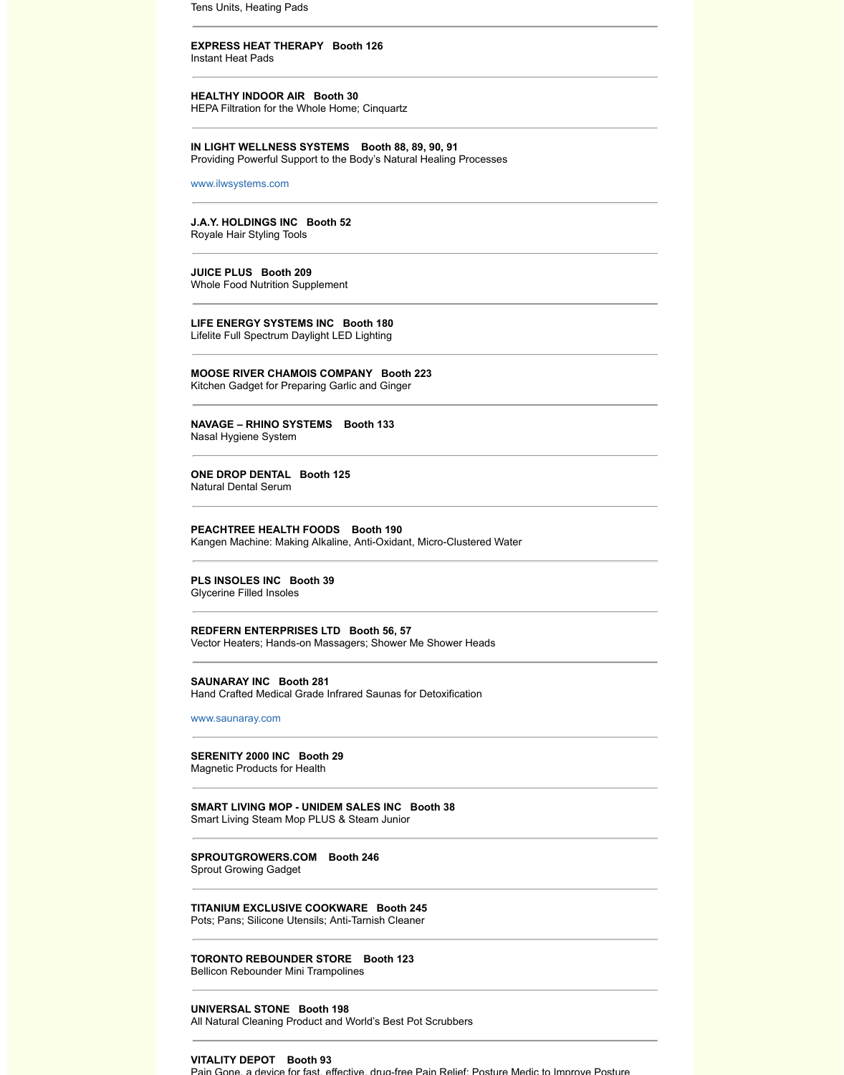Kitchen Gadget for Preparing Garlic and Ginger

**NAVAGE – RHINO SYSTEMS Booth 133**  Nasal Hygiene System

**ONE DROP DENTAL Booth 125** Natural Dental Serum

**PEACHTREE HEALTH FOODS Booth 190** Kangen Machine: Making Alkaline, Anti-Oxidant, Micro-Clustered Water

**PLS INSOLES INC Booth 39**

Glycerine Filled Insoles

**REDFERN ENTERPRISES LTD Booth 56, 57**  Vector Heaters; Hands-on Massagers; Shower Me Shower Heads

**SAUNARAY INC Booth 281** Hand Crafted Medical Grade Infrared Saunas for Detoxification

www.saunaray.com

**SERENITY 2000 INC Booth 29** Magnetic Products for Health

**SMART LIVING MOP - UNIDEM SALES INC Booth 38**  Smart Living Steam Mop PLUS & Steam Junior

**SPROUTGROWERS.COM Booth 246**  Sprout Growing Gadget

**TITANIUM EXCLUSIVE COOKWARE Booth 245**  Pots; Pans; Silicone Utensils; Anti-Tarnish Cleaner

**TORONTO REBOUNDER STORE Booth 123** 

Bellicon Rebounder Mini Trampolines

**UNIVERSAL STONE Booth 198**  All Natural Cleaning Product and World's Best Pot Scrubbers

**VITALITY DEPOT Booth 93**

Pain Gone, a device for fast, effective, drug-free Pain Relief; Posture Medi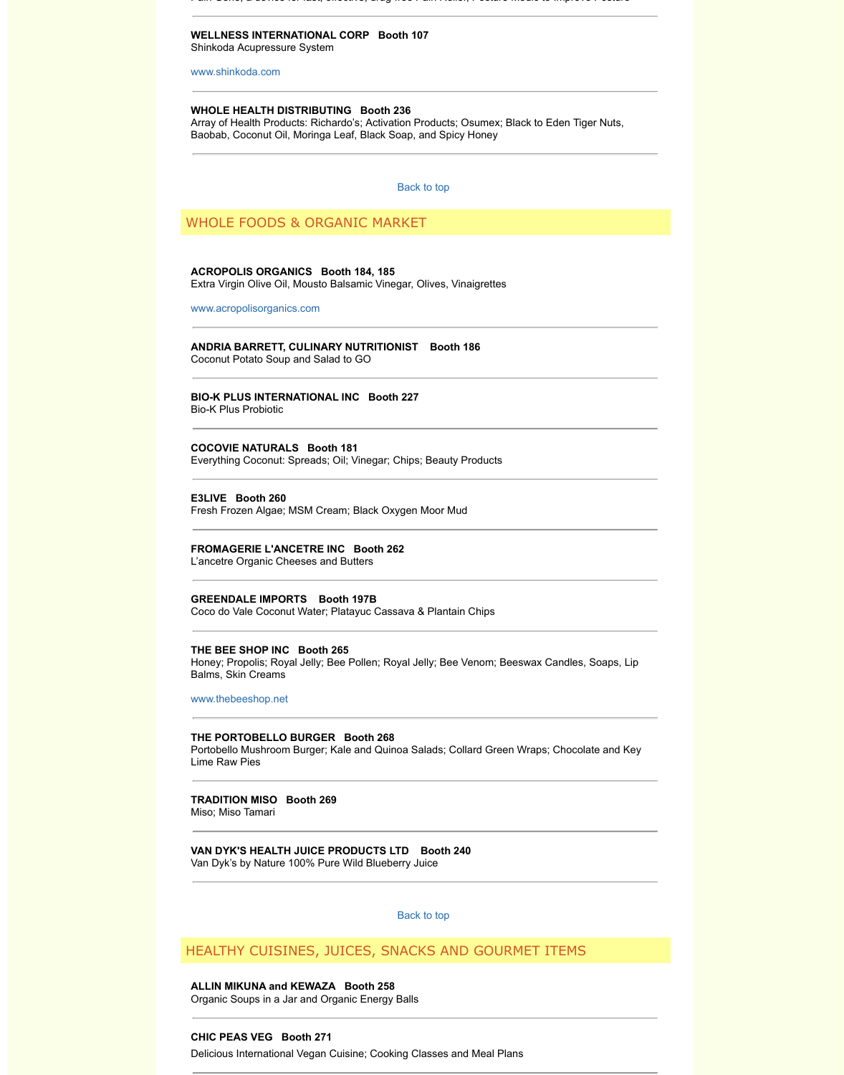## **BIO-K PLUS INTERNATIONAL INC Booth 227** Bio-K Plus Probiotic

## **COCOVIE NATURALS Booth 181**

[Everything Coconut](http://www.shinkoda.com/): Spreads; Oil; Vinegar; Chips; Beauty Products

#### **E3LIVE Booth 260**

Fresh Frozen Algae; MSM Cream; Black Oxygen Moor Mud

## **FROMAGERIE L'ANCETRE INC Booth 262**

L'ancetre Organic Cheeses and Butters

### **GREENDALE IMPORTS Booth 197B**

Coco do Vale Coconut Water; Platayuc Cassava & Plantain Chips

#### **THE BEE SHOP INC Booth 265**

Honey; Propolis; Royal Jelly; Bee Pollen; Royal Jelly; Bee Venom; Beeswa Balms, Skin Creams

[www.thebeeshop.net](http://www.acropolisorganics.com/)

## **THE PORTOBELLO BURGER Booth 268**

Portobello Mushroom Burger; Kale and Quinoa Salads; Collard Green Wra Lime Raw Pies

## **TRADITION MISO Booth 269**

Miso; Miso Tamari

## **VAN DYK'S HEALTH JUICE PRODUCTS LTD Booth 240**  Van Dyk's by Nature 100% Pure Wild Blueberry Juice

Back to top

## HEALTHY CUISINES, JUICES, SNACKS AND GOURMET

**ALLIN MIKUNA and KEWAZA Booth 258** Organic Soups in a Jar and Organic Energy Balls

## **CHIC PEAS VEG Booth 271**

Delicious International Vegan Cuisine; Cooking Classes and Meal Plans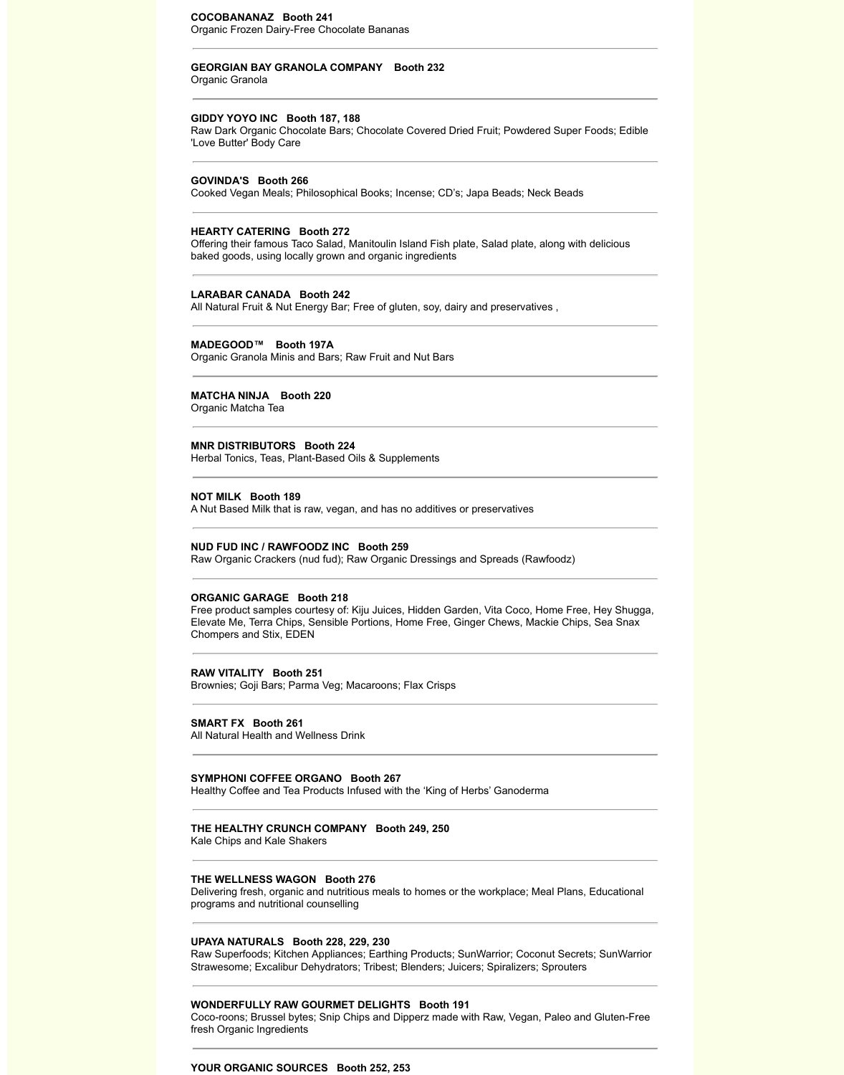#### **COCOBANANAZ Booth 241**

Organic Frozen Dairy-Free Chocolate Bananas

#### **GEORGIAN BAY GRANOLA COMPANY Booth 232**

Organic Granola

#### **GIDDY YOYO INC Booth 187, 188**

Raw Dark Organic Chocolate Bars; Chocolate Covered Dried Fruit; Powdered Super Foods; Edible 'Love Butter' Body Care

#### **GOVINDA'S Booth 266**

Cooked Vegan Meals; Philosophical Books; Incense; CD's; Japa Beads; Neck Beads

#### **HEARTY CATERING Booth 272**

Offering their famous Taco Salad, Manitoulin Island Fish plate, Salad plate, along with delicious baked goods, using locally grown and organic ingredients

#### **LARABAR CANADA Booth 242**

All Natural Fruit & Nut Energy Bar; Free of gluten, soy, dairy and preservatives ,

#### **MADEGOOD™ Booth 197A**

Organic Granola Minis and Bars; Raw Fruit and Nut Bars

#### **MATCHA NINJA Booth 220**

Organic Matcha Tea

## **MNR DISTRIBUTORS Booth 224**

Herbal Tonics, Teas, Plant-Based Oils & Supplements

#### **NOT MILK Booth 189**

A Nut Based Milk that is raw, vegan, and has no additives or preservatives

#### **NUD FUD INC / RAWFOODZ INC Booth 259**

Raw Organic Crackers (nud fud); Raw Organic Dressings and Spreads (Rawfoodz)

#### **ORGANIC GARAGE Booth 218**

Free product samples courtesy of: Kiju Juices, Hidden Garden, Vita Coco, Home Free, Hey Shugga, Elevate Me, Terra Chips, Sensible Portions, Home Free, Ginger Chews, Mackie Chips, Sea Snax Chompers and Stix, EDEN

#### **RAW VITALITY Booth 251**

Brownies; Goji Bars; Parma Veg; Macaroons; Flax Crisps

#### **SMART FX Booth 261**

All Natural Health and Wellness Drink

#### **SYMPHONI COFFEE ORGANO Booth 267**

Healthy Coffee and Tea Products Infused with the 'King of Herbs' Ganoderma

## **THE HEALTHY CRUNCH COMPANY Booth 249, 250**

Kale Chips and Kale Shakers

## **THE WELLNESS WAGON Booth 276**

Delivering fresh, organic and nutritious meals to homes or the workplace; Meal Plans, Educational programs and nutritional counselling

#### **UPAYA NATURALS Booth 228, 229, 230**

Raw Superfoods; Kitchen Appliances; Earthing Products; SunWarrior; Coconut Secrets; SunWarrior Strawesome; Excalibur Dehydrators; Tribest; Blenders; Juicers; Spiralizers; Sprouters

## **WONDERFULLY RAW GOURMET DELIGHTS Booth 191**

Coco-roons; Brussel bytes; Snip Chips and Dipperz made with Raw, Vegan, Paleo and Gluten-Free fresh Organic Ingredients

### **YOUR ORGANIC SOURCES Booth 252, 253**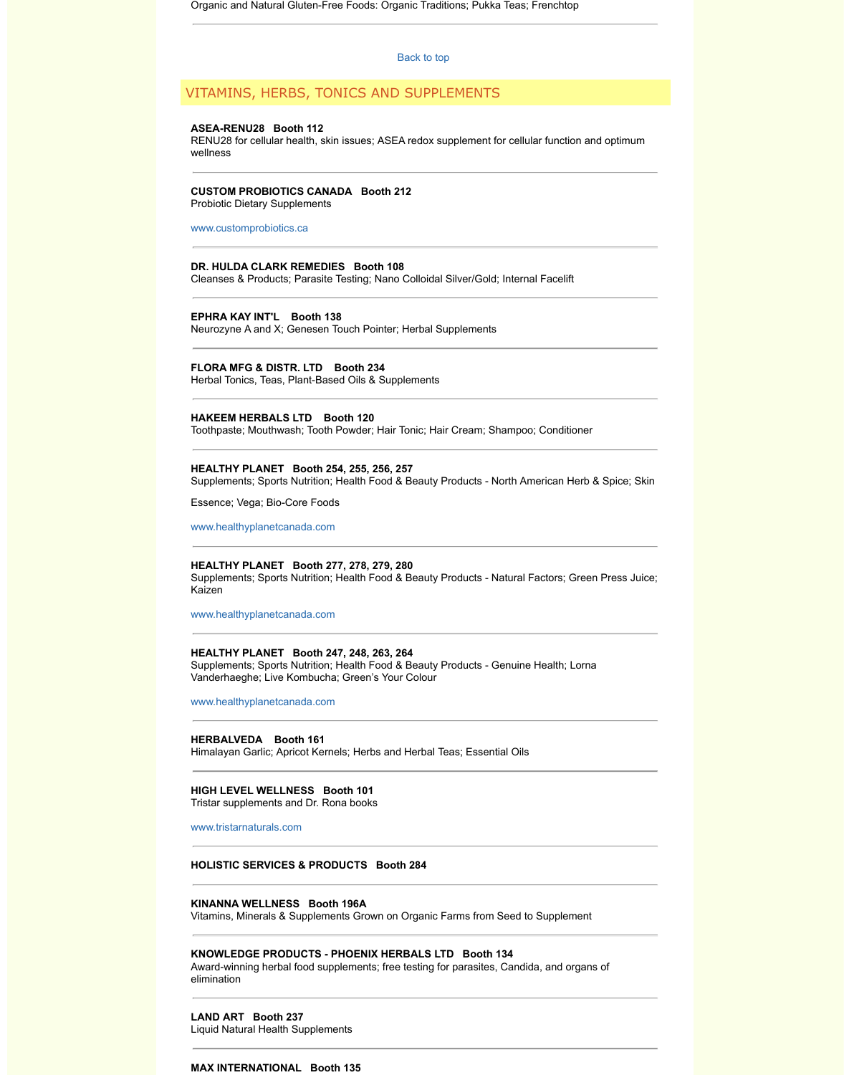# Herbal Tonics, Teas, Plant-Based Oils & Supplements

## **HAKEEM HERBALS LTD Booth 120**

Toothpaste; Mouthwash; Tooth Powder; Hair [Tonic; Hair C](http://www.wholelifeexpo.ca/exhibitors.php#top)ream; Shampoo

#### **HEALTHY PLANET Booth 254, 255, 256, 257**

Supplements; Sports Nutrition; Health Food & Beauty Products - North Am

Essence; Vega; Bio-Core Foods

www.healthyplanetcanada.com

#### **HEALTHY PLANET Booth 277, 278, 279, 280**

Supplements; Sports Nutrition; Health Food & Beauty Products - Natural F Kaizen

[www.healthyplanetcanada](http://www.customprobiotics.ca/).com

#### **HEALTHY PLANET Booth 247, 248, 263, 264**

Supplements; Sports Nutrition; Health Food & Beauty Products - Genuine Vanderhaeghe; Live Kombucha; Green's Your Colour

www.healthyplanetcanada.com

**HERBALVEDA Booth 161** Himalayan Garlic; Apricot Kernels; Herbs and Herbal Teas; Essential Oils

## **HIGH LEVEL WELLNESS Booth 101**

Tristar supplements and Dr. Rona books

www.tristarnaturals.com

## **HOLISTIC SERVICES & PRODUCTS Booth 284**

## **KINANNA WELLNESS Booth 196A**

[Vitamins, Minerals & Suppleme](http://www.healthyplanetcanada.com/)nts Grown on Organic Farms from Seed to

## **KNOWLEDGE PRODUCTS - PHOENIX HERBALS LTD Booth 134**

Award-winning herbal food supplements; free testing for parasites, Candid elimination

## **LAND ART Booth 237**

Liquid Natural Health Supplements

#### **MAX INTERNATIONAL Booth 135**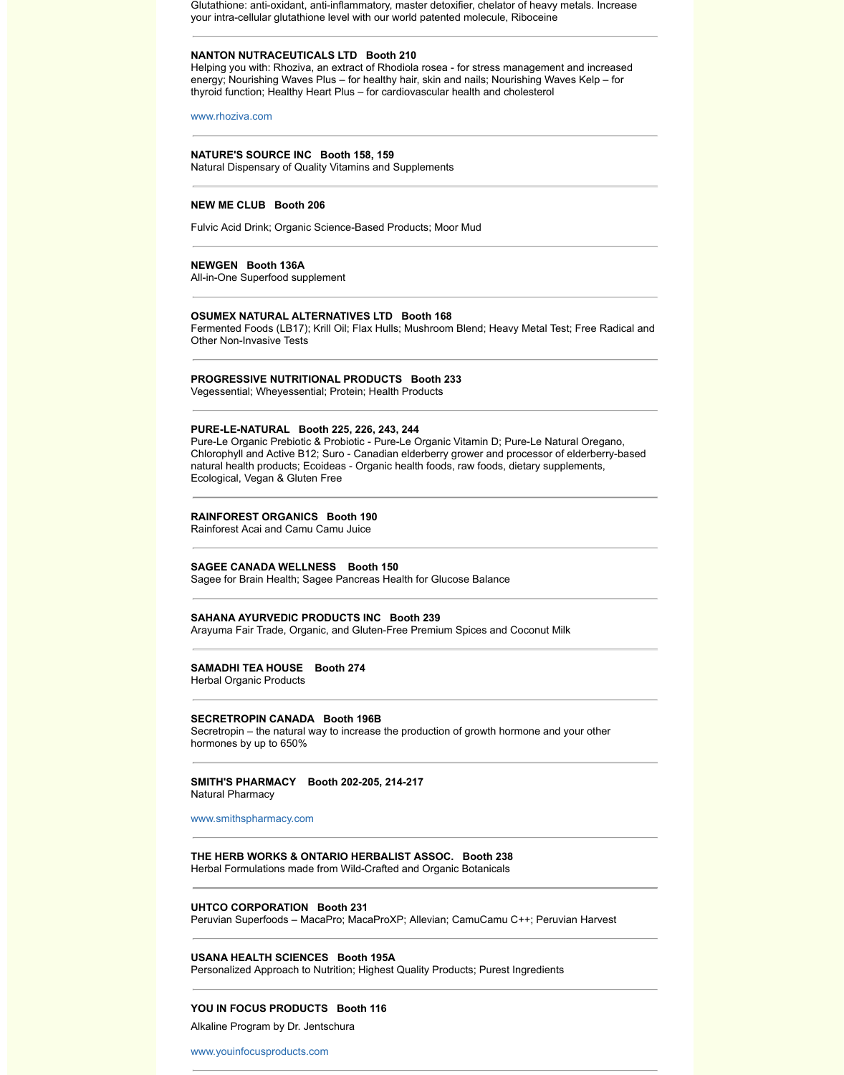Vegessential; Wheyessential; Protein; Health Products

## **PURE-LE-NATURAL Booth 225, 226, 243, 244**

Pure-Le Organic Prebiotic & Probiotic - Pure-Le Organic Vitamin D; Pure-I Chlorophyll and Active B12; Suro - Canadian elderberry grower and proce natural health products; Ecoideas - Organic health foods, raw foods, dietar Ecological, Vegan & Gluten Free

#### **RAINFOREST ORGANICS Booth 190**

Rainforest Acai and Camu Camu Juice

### **SAGEE CANADA WELLNESS Booth 150**

Sagee for Brain Health; Sagee Pancreas Health for Glucose Balance

#### **SAHANA AYURVEDIC PRODUCTS INC Booth 239**

Arayuma Fair Trade, Organic, and Gluten-Free Premium Spices and Coco

## **SAMADHI TEA HOUSE Booth 274**

Herbal Organic Products

#### **SECRETROPIN CANADA Booth 196B**

Secretropin – the natural way to increase the production of growth hormon hormones by up to 650%

#### **SMITH'S PHARMACY Booth 202-205, 214-217**  Natural Pharmacy

www.smithspharmacy.com

## **THE HERB WORKS & ONTARIO HERBALIST ASSOC. Booth 238**

Herbal Formulations made from Wild-Crafted and Organic Botanicals

#### **UHTCO CORPORATION Booth 231**

Peruvian Superfoods – MacaPro; MacaProXP; Allevian; CamuCamu C++;

## **USANA HEALTH SCIENCES Booth 195A**

Personalized Approach to Nutrition; Highest Quality Products; Purest Ingre

## **YOU IN FOCUS PRODUCTS Booth 116**

Alkaline Program by Dr. Jentschura

www.youinfocusproducts.com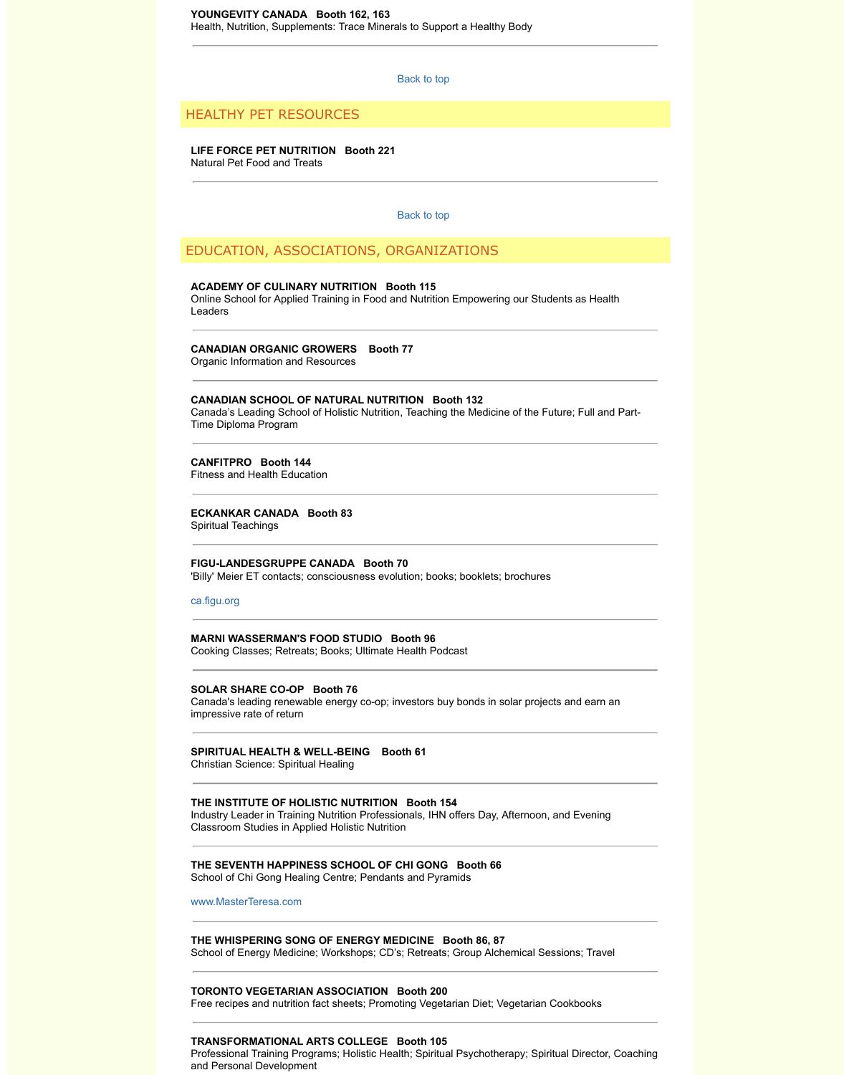## **CANADIAN SCHOOL OF NATURAL NUTRITION Booth 132**

Canada's Leading School of Holistic Nutrition, Teaching the Medicine of the Time Diploma Program

## **CANFITPRO Booth 144**

Fitness and Health Education

## **ECKANKAR CANADA Booth 83**

Spiritual Teachings

## **FIGU-LANDESGRUPPE CANADA Booth 70**

'Billy' Meier ET contacts; consciousness evolution; books; booklets; brochures

ca.figu.org

## **MARNI WASSERMAN'S FOOD STUDIO Booth 96**

Cooking Classes; Retreats; Books; Ultimate Health Podcast

#### **SOLAR SHARE CO-OP Booth 76**

Canada's leading renewable energy co-op; investors buy bonds in solar pro impressive rate of return

## **SPIRITUAL HEALTH & WELL-BEING Booth 61**

Christian Science: Spiritual Healing

#### **THE INSTITUTE OF HOLISTIC NUTRITION Booth 154**

Industry Leader in Training Nutrition Professionals, IHN offers Day, Afterno Classroom Studies in Applied Holistic Nutrition

## **THE SEVENTH HAPPINESS SCHOOL OF CHI GONG Booth 66** School of Chi Gong Healing Centre; Pendants and Pyramids

www.MasterTeresa.com

## **THE WHISPERING SONG OF ENERGY MEDICINE Booth 86, 87**

School of Energy Medicine; Workshops; CD's; Retreats; Group Alchemica

## **[TORONTO](http://ca.figu.org/) VEGETARIAN ASSOCIATION Booth 200**

Free recipes and nutrition fact sheets; Promoting Vegetarian Diet; Vegetar

## **TRANSFORMATIONAL ARTS COLLEGE Booth 105**

Professional Training Programs; Holistic Health; Spiritual Psychotherapy; Spiritual Psychotherapy; and Personal Development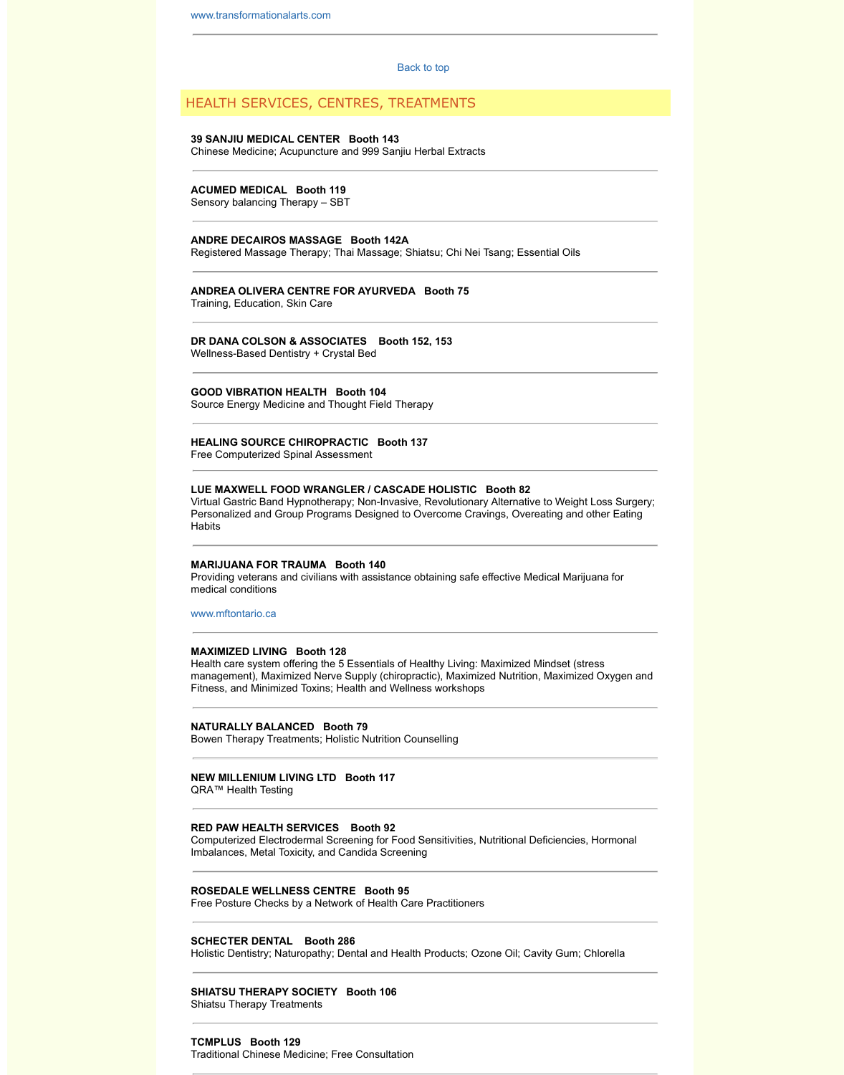## **GOOD VIBRATION HEALTH Booth 104**

[Source Energy Medicine and T](http://www.transformationalarts.com/)hought Field Therapy

### **HEALING SOURCE CHIROPRACTIC Bo[oth 137](http://www.wholelifeexpo.ca/exhibitors.php#top)**

Free Computerized Spinal Assessment

#### **LUE MAXWELL FOOD WRANGLER / CASCADE HOLISTIC Booth 82** Virtual Gastric Band Hypnotherapy; Non-Invasive, Revolutionary Alternativ

Personalized and Group Programs Designed to Overcome Cravings, Over **Habits** 

#### **MARIJUANA FOR TRAUMA Booth 140**

Providing veterans and civilians with assistance obtaining safe effective M medical conditions

www.mftontario.ca

#### **MAXIMIZED LIVING Booth 128**

Health care system offering the 5 Essentials of Healthy Living: Maximized management), Maximized Nerve Supply (chiropractic), Maximized Nutritio Fitness, and Minimized Toxins; Health and Wellness workshops

## **NATURALLY BALANCED Booth 79**

Bowen Therapy Treatments; Holistic Nutrition Counselling

### **NEW MILLENIUM LIVING LTD Booth 117**

QRA™ Health Testing

#### **RED PAW HEALTH SERVICES Booth 92**

Computerized Electrodermal Screening for Food Sensitivities, Nutritional D Imbalances, Metal Toxicity, and Candida Screening

## **ROSEDALE WELLNESS CENTRE Booth 95**

Free Posture Checks by a Network of Health Care Practitioners

#### **SCHECTER DENTAL Booth 286**

Holistic Dentistry; Naturopathy; Dental and Health Products; Ozone Oil; Ca

## **[SHIATSU THERAP](http://www.mftontario.ca/)Y SOCIETY Booth 106**

Shiatsu Therapy Treatments

## **TCMPLUS Booth 129**

Traditional Chinese Medicine; Free Consultation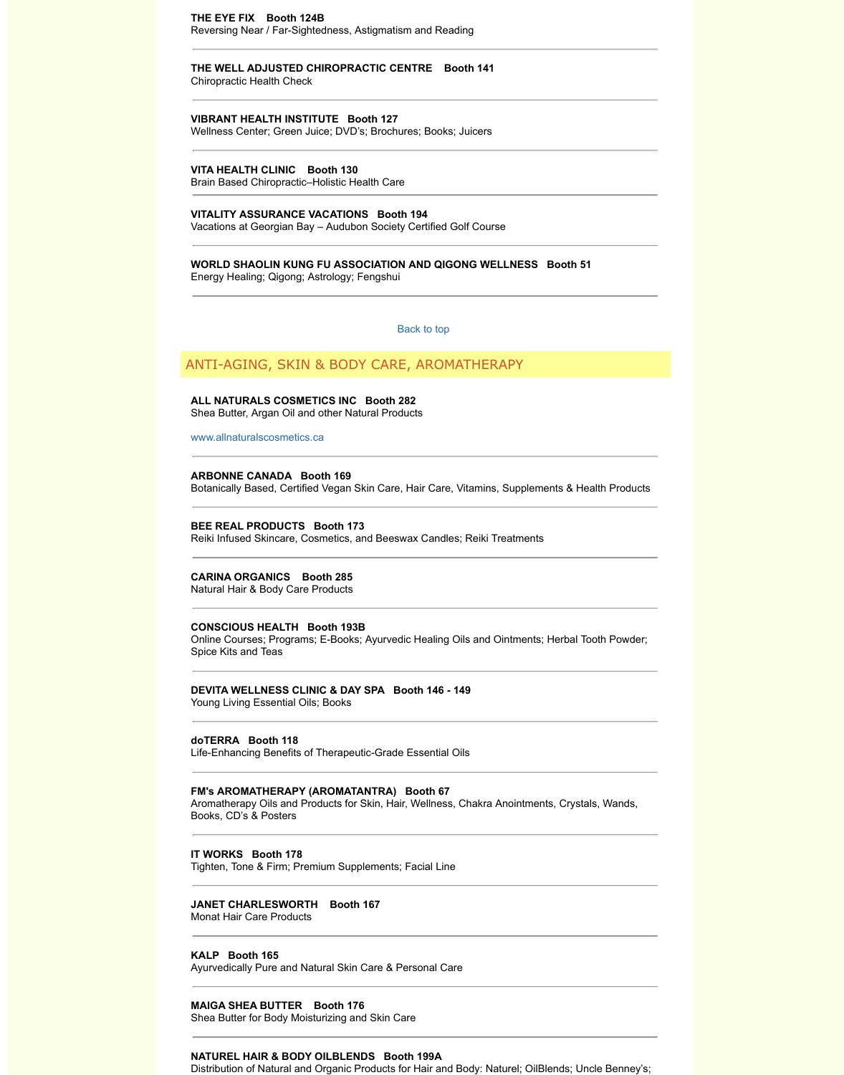#### **ALL NATURALS COSMETICS INC Booth 282** Shea Butter, Argan Oil and other Natural Products

#### www.allnaturalscosmetics.ca

## **ARBONNE CANADA Booth 169**

Botanically Based, Certified Vegan Skin Care, Hair Care, Vitamins, Supple

#### **BEE REAL PRODUCTS Booth 173**

Reiki Infused Skincare, Cosmetics, and Beeswax Candles; Reiki Treatmer

## **CARINA ORGANICS Booth 285**

Natural Hair & Body Care Products

## **CONSCIOUS HEALTH Booth 193B**

Online Courses; Programs; E-Books; Ayurvedic Healing Oils and Ointmen Spice Kits and Teas

## **DEVITA WELLNESS CLINIC & DAY SPA Booth 146 - 149**

Young Living Essential Oils; Books

## **doTERRA Booth 118**

Life-Enhancing Benefits of Therapeutic-Grade Essential Oils

## **FM's AROMATHERAPY (AROMATANTRA) Booth 67**

Aromatherapy Oils and Products for Skin, Hair, Wellness, Chakra Anointm [Books, CD's & Posters](http://www.allnaturalscosmetics.ca/)

## **IT WORKS Booth 178**

Tighten, Tone & Firm; Premium Supplements; Facial Line

## **JANET CHARLESWORTH Booth 167**

Monat Hair Care Products

## **KALP Booth 165**

Ayurvedically Pure and Natural Skin Care & Personal Care

## **MAIGA SHEA BUTTER Booth 176**

Shea Butter for Body Moisturizing and Skin Care

## **NATUREL HAIR & BODY OILBLENDS Booth 199A**

Distribution of Natural and Organic Products for Hair and Body: Naturel; O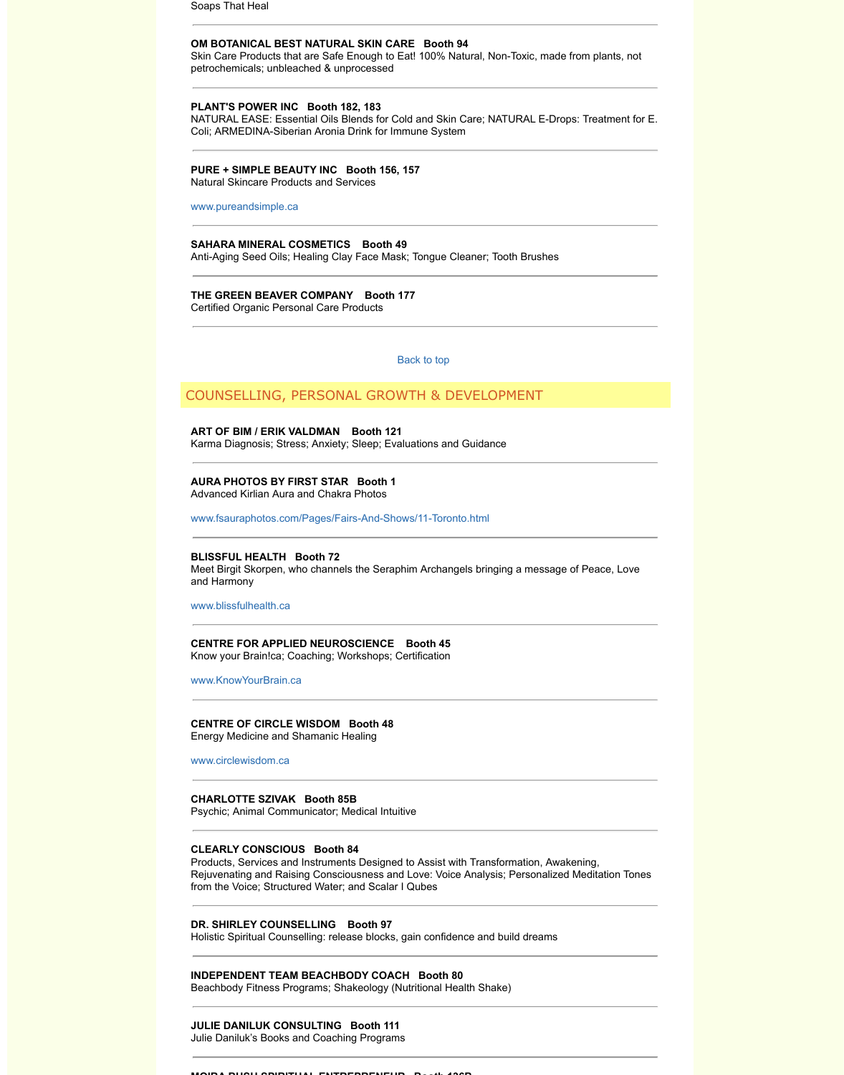## COUNSELLING, PERSONAL GROWTH & DEVELOPMEN

#### **ART OF BIM / ERIK VALDMAN Booth 121**

Karma Diagnosis; Stress; Anxiety; Sleep; Evaluations and Guidance

## **AURA PHOTOS BY FIRST STAR Booth 1** Advanced Kirlian Aura and Chakra Photos

www.fsauraphotos.com/Pages/Fairs-And-Shows/11-Toronto.html

## **BLISSFUL HEALTH Booth 72**

Meet Birgit Skorpen, who channels the Seraphim Archangels bringing a m [and Harmony](http://www.pureandsimple.ca/) 

www.blissfulhealth.ca

#### **CENTRE FOR APPLIED NEUROSCIENCE Booth 45** Know your Brain!ca; Coaching; Workshops; Certification

www.KnowYourBrain.ca

## **CENTRE OF CIRCLE WISDOM Booth 48**

Energy Medicine and Shamanic Healing

www.circlewisdom.ca

## **CHARLOTTE SZIVAK Booth 85B**

Psychic; Animal Communicator; Medical Intuitive

#### **CLEARLY CONSCIOUS Booth 84**

Products, Services and Instruments Designed to Assist with Transformation, Rejuvenating and Raising Consciousness and Love: Voice Analysis; Personal from the Voice; Structured Water; and Scalar I Qubes

## **DR. SHIRLEY COUNSELLING Booth 97**

Holistic Spiritual Counselling: release blocks, gain confidence and build dreams

#### **INDEPENDENT TEAM BEACHBODY COACH Booth 80**

[Beachbody Fitness Pr](http://www.blissfulhealth.ca/)ograms; Shakeology (Nutritional Health Shake)

## **JULIE DANILUK CONSULTING Booth 111**

Julie Daniluk's Books and Coaching Programs

#### **MOIRA BUSH SPIRITUAL ENTREPRENEUR Booth 136B**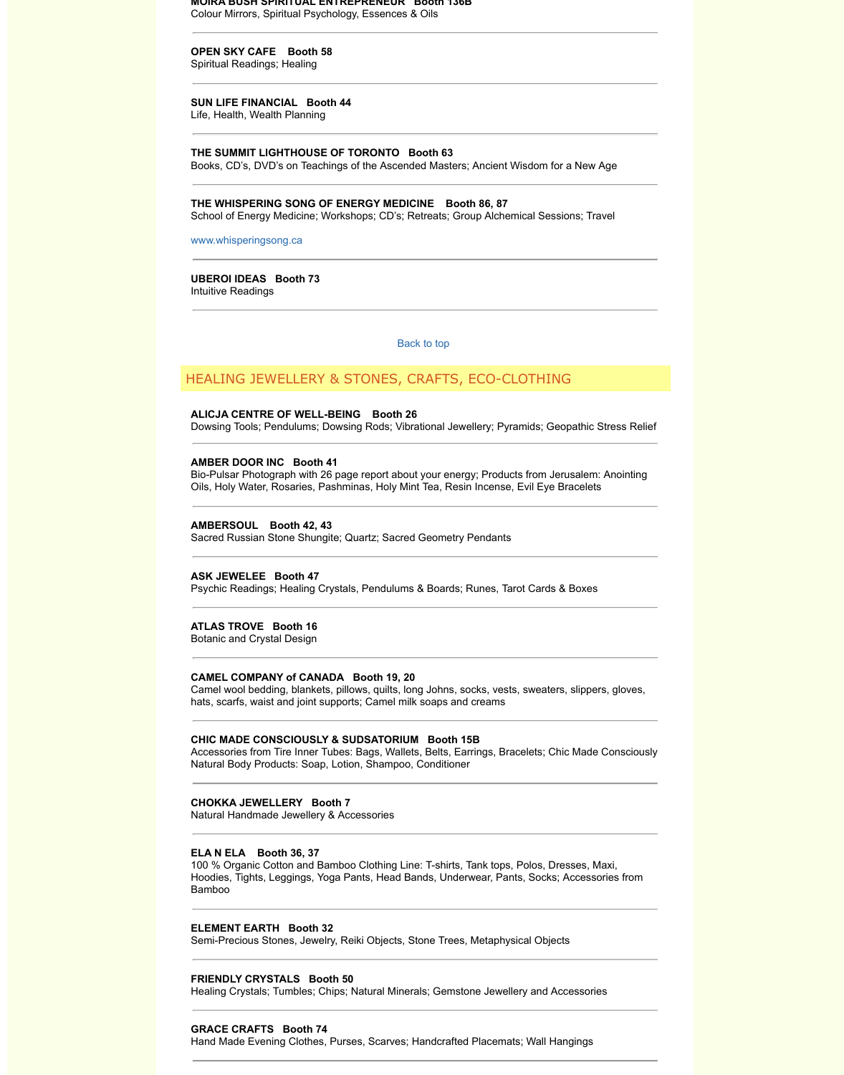## **ALICJA CENTRE OF WELL-BEING Booth 26**

Dowsing Tools; Pendulums; Dowsing Rods; Vibrational Jewellery; Pyramid

HEALING JEWELLERY AND LOCAL STONES, CRAFTS, ECO-CLOTHING JEWELLERY AND LOCAL STONES, ECO-CLOTHING STONES, ECO-

## **AMBER DOOR INC Booth 41**

Bio-Pulsar Photograph with 26 page report about your energy; Products from Oils, Holy Water, Rosaries, Pashminas, Holy Mint Tea, Resin Incense, Evil

#### **AMBERSOUL Booth 42, 43**

Sacred Russian Stone Shungite; Quartz; Sacred Geometry Pendants

## **ASK JEWELEE Booth 47**

Psychic Readings; Healing Crystals, Pendulums & Boards; Runes, Tarot C

#### **[ATLAS TROVE Booth](http://www.whisperingsong.ca/) 16**

Botanic and Crystal Design

#### **CAMEL COMPANY of CANADA Booth 19, 20**

Camel wool bedding, blankets, pillows, quilts, long Johns, socks, vests, sw hats, scarfs, waist and joint supports; Camel milk soaps and creams

#### **CHIC MADE CONSCIOUSLY & SUDSATORIUM Booth 15B**

Accessories from Tire Inner Tubes: Bags, Wallets, Belts, Earrings, Bracele Natural Body Products: Soap, Lotion, Shampoo, Conditioner

## **CHOKKA JEWELLERY Booth 7**

Natural Handmade Jewellery & Accessories

#### **ELA N ELA Booth 36, 37**

100 % Organic Cotton and Bamboo Clothing Line: T-shirts, Tank tops, Pole Hoodies, Tights, Leggings, Yoga Pants, Head Bands, Underwear, Pants, Socks, Accessories from Bamboo

## **ELEMENT EARTH Booth 32**

Semi-Precious Stones, Jewelry, Reiki Objects, Stone Trees, Metaphysical

#### **FRIENDLY CRYSTALS Booth 50**

Healing Crystals; Tumbles; Chips; Natural Minerals; Gemstone Jewellery and Accessories and Accessories and Acc

#### **GRACE CRAFTS Booth 74**

Hand Made Evening Clothes, Purses, Scarves; Handcrafted Placemats; W